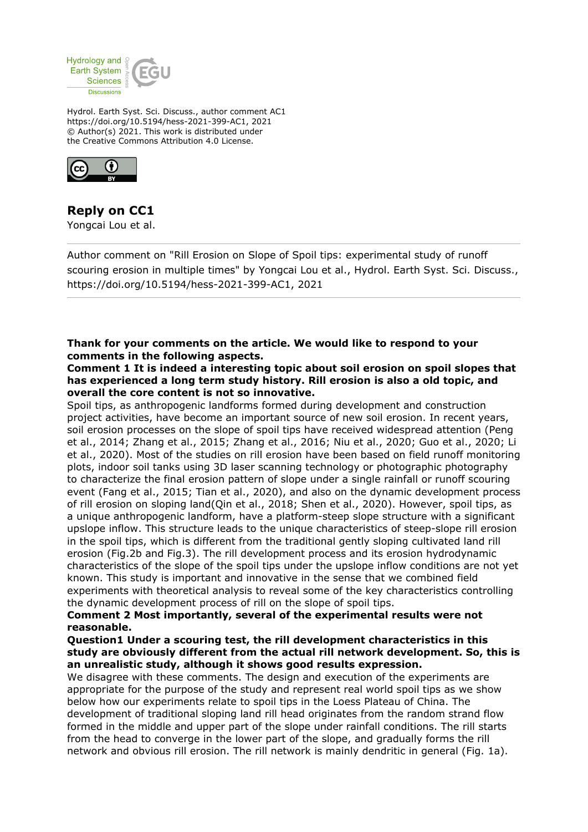

Hydrol. Earth Syst. Sci. Discuss., author comment AC1 https://doi.org/10.5194/hess-2021-399-AC1, 2021 © Author(s) 2021. This work is distributed under the Creative Commons Attribution 4.0 License.



# **Reply on CC1**

Yongcai Lou et al.

Author comment on "Rill Erosion on Slope of Spoil tips: experimental study of runoff scouring erosion in multiple times" by Yongcai Lou et al., Hydrol. Earth Syst. Sci. Discuss., https://doi.org/10.5194/hess-2021-399-AC1, 2021

## **Thank for your comments on the article. We would like to respond to your comments in the following aspects.**

#### **Comment 1 It is indeed a interesting topic about soil erosion on spoil slopes that has experienced a long term study history. Rill erosion is also a old topic, and overall the core content is not so innovative.**

Spoil tips, as anthropogenic landforms formed during development and construction project activities, have become an important source of new soil erosion. In recent years, soil erosion processes on the slope of spoil tips have received widespread attention (Peng et al., 2014; Zhang et al., 2015; Zhang et al., 2016; Niu et al., 2020; Guo et al., 2020; Li et al., 2020). Most of the studies on rill erosion have been based on field runoff monitoring plots, indoor soil tanks using 3D laser scanning technology or photographic photography to characterize the final erosion pattern of slope under a single rainfall or runoff scouring event (Fang et al., 2015; Tian et al., 2020), and also on the dynamic development process of rill erosion on sloping land(Qin et al., 2018; Shen et al., 2020). However, spoil tips, as a unique anthropogenic landform, have a platform-steep slope structure with a significant upslope inflow. This structure leads to the unique characteristics of steep-slope rill erosion in the spoil tips, which is different from the traditional gently sloping cultivated land rill erosion (Fig.2b and Fig.3). The rill development process and its erosion hydrodynamic characteristics of the slope of the spoil tips under the upslope inflow conditions are not yet known. This study is important and innovative in the sense that we combined field experiments with theoretical analysis to reveal some of the key characteristics controlling the dynamic development process of rill on the slope of spoil tips.

# **Comment 2 Most importantly, several of the experimental results were not reasonable.**

#### **Question1 Under a scouring test, the rill development characteristics in this study are obviously different from the actual rill network development. So, this is an unrealistic study, although it shows good results expression.**

We disagree with these comments. The design and execution of the experiments are appropriate for the purpose of the study and represent real world spoil tips as we show below how our experiments relate to spoil tips in the Loess Plateau of China. The development of traditional sloping land rill head originates from the random strand flow formed in the middle and upper part of the slope under rainfall conditions. The rill starts from the head to converge in the lower part of the slope, and gradually forms the rill network and obvious rill erosion. The rill network is mainly dendritic in general (Fig. 1a).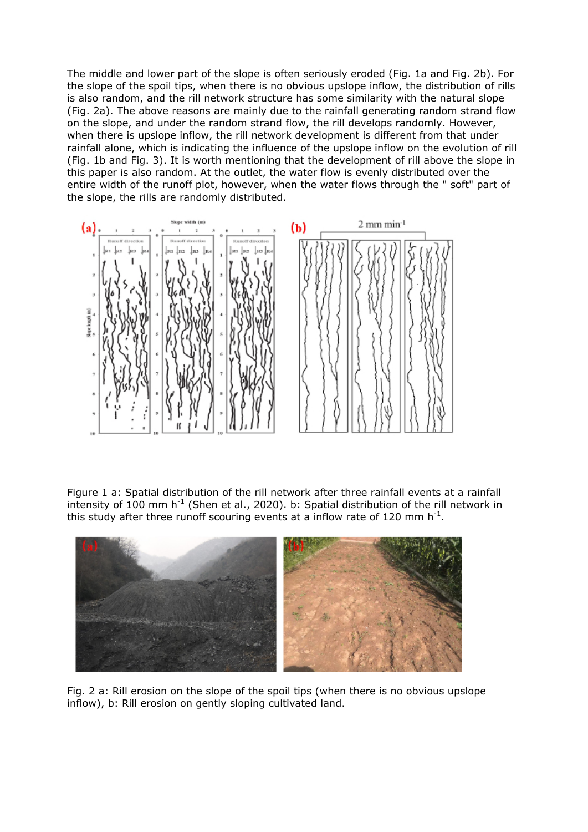The middle and lower part of the slope is often seriously eroded (Fig. 1a and Fig. 2b). For the slope of the spoil tips, when there is no obvious upslope inflow, the distribution of rills is also random, and the rill network structure has some similarity with the natural slope (Fig. 2a). The above reasons are mainly due to the rainfall generating random strand flow on the slope, and under the random strand flow, the rill develops randomly. However, when there is upslope inflow, the rill network development is different from that under rainfall alone, which is indicating the influence of the upslope inflow on the evolution of rill (Fig. 1b and Fig. 3). It is worth mentioning that the development of rill above the slope in this paper is also random. At the outlet, the water flow is evenly distributed over the entire width of the runoff plot, however, when the water flows through the " soft" part of the slope, the rills are randomly distributed.



Figure 1 a: Spatial distribution of the rill network after three rainfall events at a rainfall intensity of  $100$  mm h<sup>-1</sup> (Shen et al., 2020). b: Spatial distribution of the rill network in this study after three runoff scouring events at a inflow rate of 120 mm h<sup>-1</sup>.



Fig. 2 a: Rill erosion on the slope of the spoil tips (when there is no obvious upslope inflow), b: Rill erosion on gently sloping cultivated land.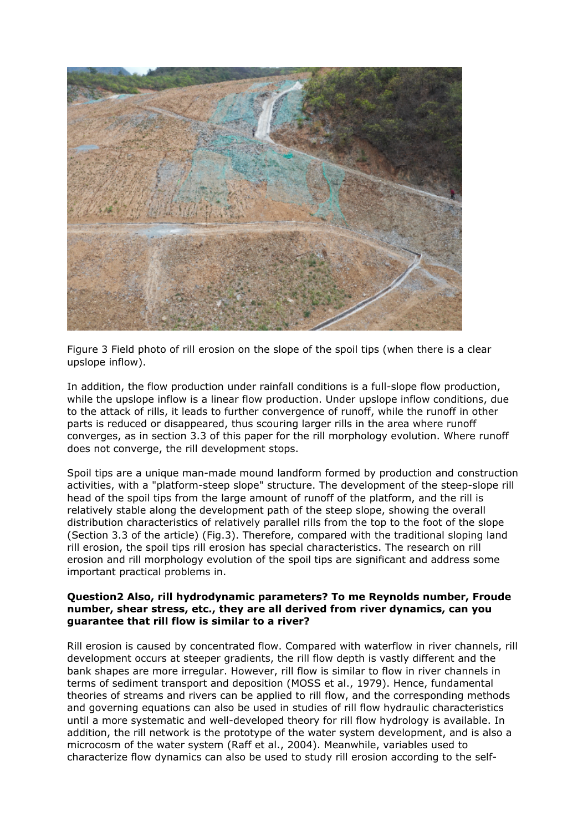

Figure 3 Field photo of rill erosion on the slope of the spoil tips (when there is a clear upslope inflow).

In addition, the flow production under rainfall conditions is a full-slope flow production, while the upslope inflow is a linear flow production. Under upslope inflow conditions, due to the attack of rills, it leads to further convergence of runoff, while the runoff in other parts is reduced or disappeared, thus scouring larger rills in the area where runoff converges, as in section 3.3 of this paper for the rill morphology evolution. Where runoff does not converge, the rill development stops.

Spoil tips are a unique man-made mound landform formed by production and construction activities, with a "platform-steep slope" structure. The development of the steep-slope rill head of the spoil tips from the large amount of runoff of the platform, and the rill is relatively stable along the development path of the steep slope, showing the overall distribution characteristics of relatively parallel rills from the top to the foot of the slope (Section 3.3 of the article) (Fig.3). Therefore, compared with the traditional sloping land rill erosion, the spoil tips rill erosion has special characteristics. The research on rill erosion and rill morphology evolution of the spoil tips are significant and address some important practical problems in.

#### **Question2 Also, rill hydrodynamic parameters? To me Reynolds number, Froude number, shear stress, etc., they are all derived from river dynamics, can you guarantee that rill flow is similar to a river?**

Rill erosion is caused by concentrated flow. Compared with waterflow in river channels, rill development occurs at steeper gradients, the rill flow depth is vastly different and the bank shapes are more irregular. However, rill flow is similar to flow in river channels in terms of sediment transport and deposition (MOSS et al., 1979). Hence, fundamental theories of streams and rivers can be applied to rill flow, and the corresponding methods and governing equations can also be used in studies of rill flow hydraulic characteristics until a more systematic and well-developed theory for rill flow hydrology is available. In addition, the rill network is the prototype of the water system development, and is also a microcosm of the water system (Raff et al., 2004). Meanwhile, variables used to characterize flow dynamics can also be used to study rill erosion according to the self-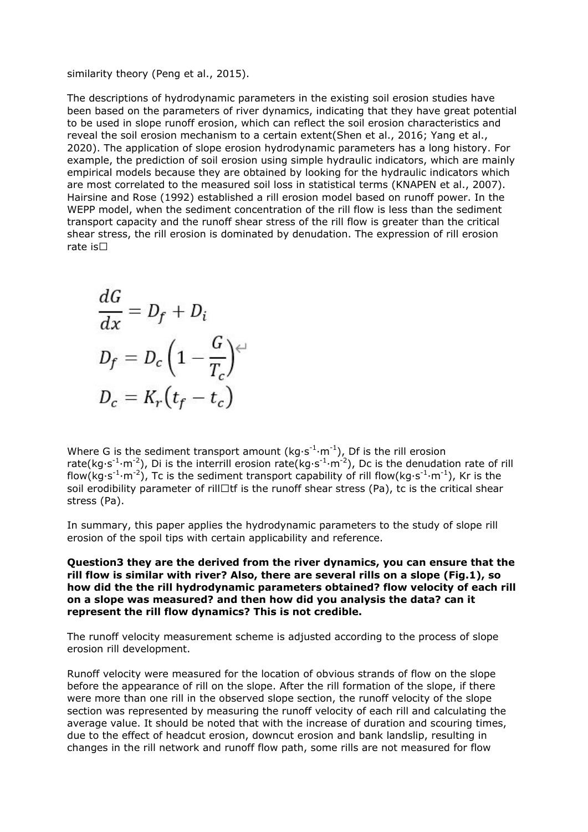#### similarity theory (Peng et al., 2015).

The descriptions of hydrodynamic parameters in the existing soil erosion studies have been based on the parameters of river dynamics, indicating that they have great potential to be used in slope runoff erosion, which can reflect the soil erosion characteristics and reveal the soil erosion mechanism to a certain extent(Shen et al., 2016; Yang et al., 2020). The application of slope erosion hydrodynamic parameters has a long history. For example, the prediction of soil erosion using simple hydraulic indicators, which are mainly empirical models because they are obtained by looking for the hydraulic indicators which are most correlated to the measured soil loss in statistical terms (KNAPEN et al., 2007). Hairsine and Rose (1992) established a rill erosion model based on runoff power. In the WEPP model, when the sediment concentration of the rill flow is less than the sediment transport capacity and the runoff shear stress of the rill flow is greater than the critical shear stress, the rill erosion is dominated by denudation. The expression of rill erosion rate is $\square$ 

$$
\frac{dG}{dx} = D_f + D_i
$$
  

$$
D_f = D_c \left(1 - \frac{G}{T_c}\right)^{c}
$$
  

$$
D_c = K_r \left(t_f - t_c\right)
$$

Where G is the sediment transport amount ( $kg·s<sup>-1</sup>·m<sup>-1</sup>$ ), Df is the rill erosion rate(kg·s<sup>-1</sup>·m<sup>-2</sup>), Di is the interrill erosion rate(kg·s<sup>-1</sup>·m<sup>-2</sup>), Dc is the denudation rate of rill flow(kg·s<sup>-1</sup>·m<sup>-2</sup>), Tc is the sediment transport capability of rill flow(kg·s<sup>-1</sup>·m<sup>-1</sup>), Kr is the soil erodibility parameter of rill $\Box$ tf is the runoff shear stress (Pa), tc is the critical shear stress (Pa).

In summary, this paper applies the hydrodynamic parameters to the study of slope rill erosion of the spoil tips with certain applicability and reference.

#### **Question3 they are the derived from the river dynamics, you can ensure that the rill flow is similar with river? Also, there are several rills on a slope (Fig.1), so how did the the rill hydrodynamic parameters obtained? flow velocity of each rill on a slope was measured? and then how did you analysis the data? can it represent the rill flow dynamics? This is not credible.**

The runoff velocity measurement scheme is adjusted according to the process of slope erosion rill development.

Runoff velocity were measured for the location of obvious strands of flow on the slope before the appearance of rill on the slope. After the rill formation of the slope, if there were more than one rill in the observed slope section, the runoff velocity of the slope section was represented by measuring the runoff velocity of each rill and calculating the average value. It should be noted that with the increase of duration and scouring times, due to the effect of headcut erosion, downcut erosion and bank landslip, resulting in changes in the rill network and runoff flow path, some rills are not measured for flow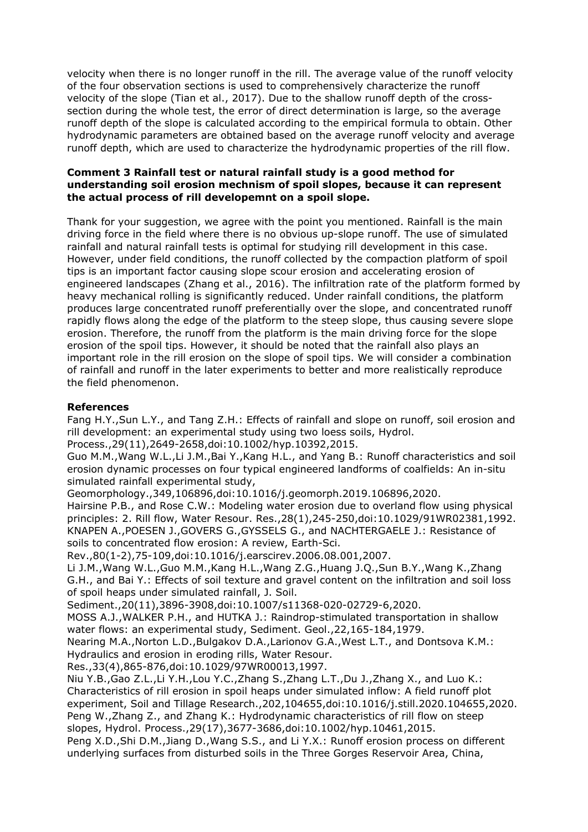velocity when there is no longer runoff in the rill. The average value of the runoff velocity of the four observation sections is used to comprehensively characterize the runoff velocity of the slope (Tian et al., 2017). Due to the shallow runoff depth of the crosssection during the whole test, the error of direct determination is large, so the average runoff depth of the slope is calculated according to the empirical formula to obtain. Other hydrodynamic parameters are obtained based on the average runoff velocity and average runoff depth, which are used to characterize the hydrodynamic properties of the rill flow.

### **Comment 3 Rainfall test or natural rainfall study is a good method for understanding soil erosion mechnism of spoil slopes, because it can represent the actual process of rill developemnt on a spoil slope.**

Thank for your suggestion, we agree with the point you mentioned. Rainfall is the main driving force in the field where there is no obvious up-slope runoff. The use of simulated rainfall and natural rainfall tests is optimal for studying rill development in this case. However, under field conditions, the runoff collected by the compaction platform of spoil tips is an important factor causing slope scour erosion and accelerating erosion of engineered landscapes (Zhang et al., 2016). The infiltration rate of the platform formed by heavy mechanical rolling is significantly reduced. Under rainfall conditions, the platform produces large concentrated runoff preferentially over the slope, and concentrated runoff rapidly flows along the edge of the platform to the steep slope, thus causing severe slope erosion. Therefore, the runoff from the platform is the main driving force for the slope erosion of the spoil tips. However, it should be noted that the rainfall also plays an important role in the rill erosion on the slope of spoil tips. We will consider a combination of rainfall and runoff in the later experiments to better and more realistically reproduce the field phenomenon.

# **References**

Fang H.Y.,Sun L.Y., and Tang Z.H.: Effects of rainfall and slope on runoff, soil erosion and rill development: an experimental study using two loess soils, Hydrol.

Process.,29(11),2649-2658,doi:10.1002/hyp.10392,2015.

Guo M.M.,Wang W.L.,Li J.M.,Bai Y.,Kang H.L., and Yang B.: Runoff characteristics and soil erosion dynamic processes on four typical engineered landforms of coalfields: An in-situ simulated rainfall experimental study,

Geomorphology.,349,106896,doi:10.1016/j.geomorph.2019.106896,2020.

Hairsine P.B., and Rose C.W.: Modeling water erosion due to overland flow using physical principles: 2. Rill flow, Water Resour. Res.,28(1),245-250,doi:10.1029/91WR02381,1992. KNAPEN A.,POESEN J.,GOVERS G.,GYSSELS G., and NACHTERGAELE J.: Resistance of soils to concentrated flow erosion: A review, Earth-Sci.

Rev.,80(1-2),75-109,doi:10.1016/j.earscirev.2006.08.001,2007.

Li J.M.,Wang W.L.,Guo M.M.,Kang H.L.,Wang Z.G.,Huang J.Q.,Sun B.Y.,Wang K.,Zhang G.H., and Bai Y.: Effects of soil texture and gravel content on the infiltration and soil loss of spoil heaps under simulated rainfall, J. Soil.

Sediment.,20(11),3896-3908,doi:10.1007/s11368-020-02729-6,2020.

MOSS A.J.,WALKER P.H., and HUTKA J.: Raindrop-stimulated transportation in shallow water flows: an experimental study, Sediment. Geol.,22,165-184,1979.

Nearing M.A.,Norton L.D.,Bulgakov D.A.,Larionov G.A.,West L.T., and Dontsova K.M.: Hydraulics and erosion in eroding rills, Water Resour.

Res.,33(4),865-876,doi:10.1029/97WR00013,1997.

Niu Y.B.,Gao Z.L.,Li Y.H.,Lou Y.C.,Zhang S.,Zhang L.T.,Du J.,Zhang X., and Luo K.: Characteristics of rill erosion in spoil heaps under simulated inflow: A field runoff plot experiment, Soil and Tillage Research.,202,104655,doi:10.1016/j.still.2020.104655,2020. Peng W.,Zhang Z., and Zhang K.: Hydrodynamic characteristics of rill flow on steep slopes, Hydrol. Process.,29(17),3677-3686,doi:10.1002/hyp.10461,2015. Peng X.D.,Shi D.M.,Jiang D.,Wang S.S., and Li Y.X.: Runoff erosion process on different underlying surfaces from disturbed soils in the Three Gorges Reservoir Area, China,